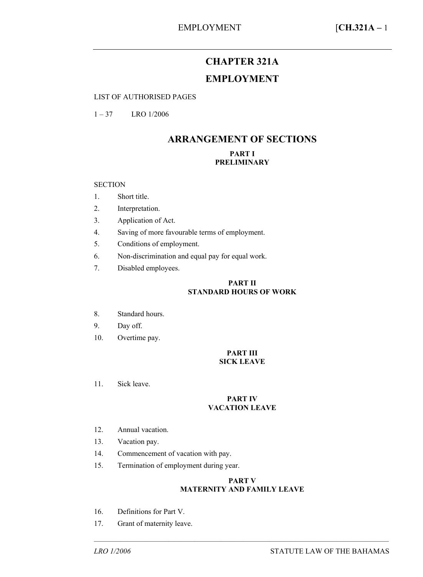# **CHAPTER 321A EMPLOYMENT**

### LIST OF AUTHORISED PAGES

 $1 - 37$  LRO 1/2006

### **ARRANGEMENT OF SECTIONS**

#### **PART I PRELIMINARY**

#### **SECTION**

- 1. Short title.
- 2. Interpretation.
- 3. Application of Act.
- 4. Saving of more favourable terms of employment.
- 5. Conditions of employment.
- 6. Non-discrimination and equal pay for equal work.
- 7. Disabled employees.

#### **PART II STANDARD HOURS OF WORK**

- 8. Standard hours.
- 9. Day off.
- 10. Overtime pay.

### **PART III SICK LEAVE**

11. Sick leave.

#### **PART IV VACATION LEAVE**

- 12. Annual vacation.
- 13. Vacation pay.
- 14. Commencement of vacation with pay.
- 15. Termination of employment during year.

#### **PART V MATERNITY AND FAMILY LEAVE**

–––––––––––––––––––––––––––––––––––––––––––––––––––––––––––––––––––––––––––––––

- 16. Definitions for Part V.
- 17. Grant of maternity leave.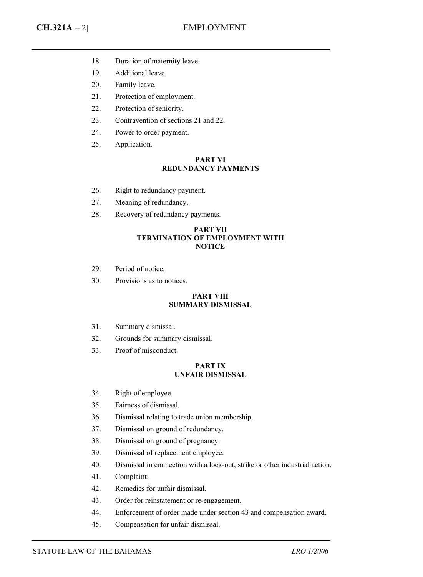- 18. Duration of maternity leave.
- 19. Additional leave.
- 20. Family leave.
- 21. Protection of employment.
- 22. Protection of seniority.
- 23. Contravention of sections 21 and 22.
- 24. Power to order payment.
- 25. Application.

#### **PART VI REDUNDANCY PAYMENTS**

- 26. Right to redundancy payment.
- 27. Meaning of redundancy.
- 28. Recovery of redundancy payments.

#### **PART VII TERMINATION OF EMPLOYMENT WITH NOTICE**

- 29. Period of notice.
- 30. Provisions as to notices.

#### **PART VIII SUMMARY DISMISSAL**

- 31. Summary dismissal.
- 32. Grounds for summary dismissal.
- 33. Proof of misconduct.

#### **PART IX UNFAIR DISMISSAL**

- 34. Right of employee.
- 35. Fairness of dismissal.
- 36. Dismissal relating to trade union membership.
- 37. Dismissal on ground of redundancy.
- 38. Dismissal on ground of pregnancy.
- 39. Dismissal of replacement employee.
- 40. Dismissal in connection with a lock-out, strike or other industrial action.
- 41. Complaint.
- 42. Remedies for unfair dismissal.
- 43. Order for reinstatement or re-engagement.
- 44. Enforcement of order made under section 43 and compensation award.
- 45. Compensation for unfair dismissal.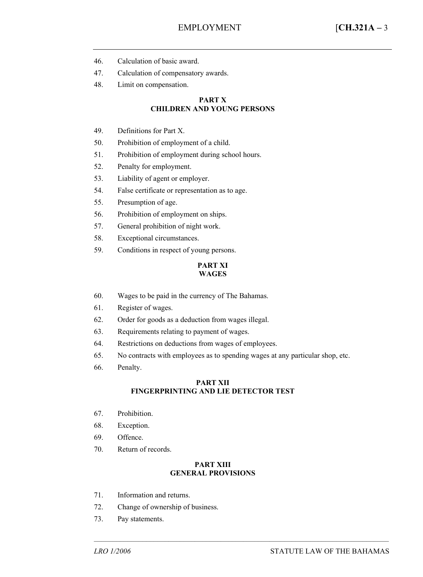- 46. Calculation of basic award.
- 47. Calculation of compensatory awards.
- 48. Limit on compensation.

#### **PART X CHILDREN AND YOUNG PERSONS**

- 49. Definitions for Part X.
- 50. Prohibition of employment of a child.
- 51. Prohibition of employment during school hours.
- 52. Penalty for employment.
- 53. Liability of agent or employer.
- 54. False certificate or representation as to age.
- 55. Presumption of age.
- 56. Prohibition of employment on ships.
- 57. General prohibition of night work.
- 58. Exceptional circumstances.
- 59. Conditions in respect of young persons.

#### **PART XI WAGES**

- 60. Wages to be paid in the currency of The Bahamas.
- 61. Register of wages.
- 62. Order for goods as a deduction from wages illegal.
- 63. Requirements relating to payment of wages.
- 64. Restrictions on deductions from wages of employees.
- 65. No contracts with employees as to spending wages at any particular shop, etc.
- 66. Penalty.

#### **PART XII FINGERPRINTING AND LIE DETECTOR TEST**

- 67. Prohibition.
- 68. Exception.
- 69. Offence.
- 70. Return of records.

#### **PART XIII GENERAL PROVISIONS**

–––––––––––––––––––––––––––––––––––––––––––––––––––––––––––––––––––––––––––––––

- 71. Information and returns.
- 72. Change of ownership of business.
- 73. Pay statements.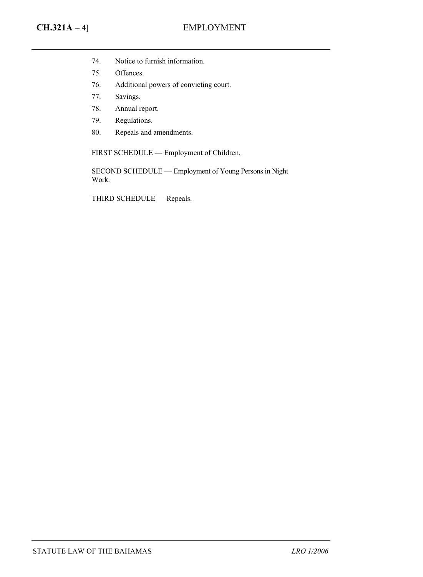- 74. Notice to furnish information.
- 75. Offences.
- 76. Additional powers of convicting court.
- 77. Savings.
- 78. Annual report.
- 79. Regulations.
- 80. Repeals and amendments.

FIRST SCHEDULE — Employment of Children.

SECOND SCHEDULE — Employment of Young Persons in Night Work.

THIRD SCHEDULE - Repeals.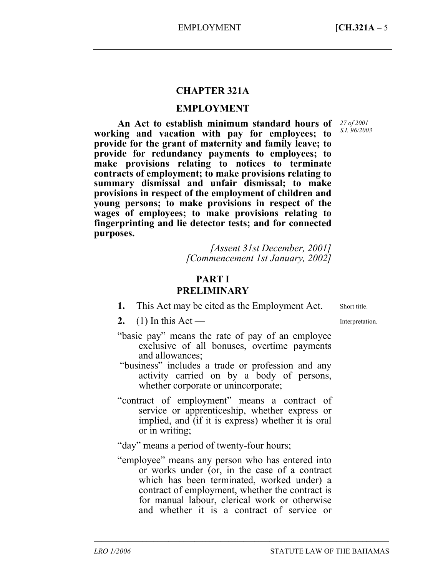## **CHAPTER 321A**

### **EMPLOYMENT**

**An Act to establish minimum standard hours of working and vacation with pay for employees; to provide for the grant of maternity and family leave; to provide for redundancy payments to employees; to make provisions relating to notices to terminate contracts of employment; to make provisions relating to summary dismissal and unfair dismissal; to make provisions in respect of the employment of children and young persons; to make provisions in respect of the wages of employees; to make provisions relating to fingerprinting and lie detector tests; and for connected purposes.** 

> *[Assent 31st December, 2001] [Commencement 1st January, 2002]*

## **PART I PRELIMINARY**

- **1.** This Act may be cited as the Employment Act.
- 2.  $(1)$  In this Act —
- "basic pay" means the rate of pay of an employee exclusive of all bonuses, overtime payments and allowances;
- "business" includes a trade or profession and any activity carried on by a body of persons, whether corporate or unincorporate;
- "contract of employment" means a contract of service or apprenticeship, whether express or implied, and (if it is express) whether it is oral or in writing;

"day" means a period of twenty-four hours;

"employee" means any person who has entered into or works under (or, in the case of a contract which has been terminated, worked under) a contract of employment, whether the contract is for manual labour, clerical work or otherwise and whether it is a contract of service or

–––––––––––––––––––––––––––––––––––––––––––––––––––––––––––––––––––––––––––––––

*27 of 2001 S.I. 96/2003* 

Short title.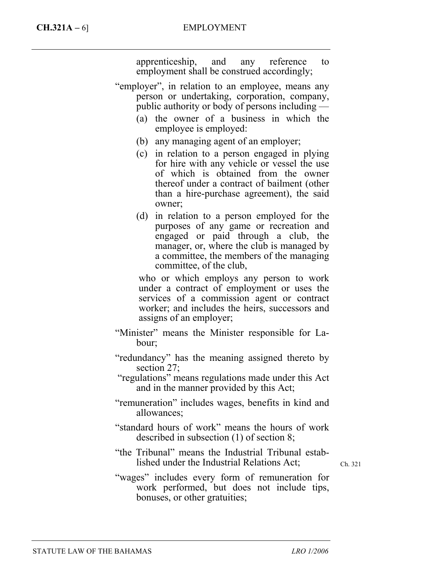apprenticeship, and any reference to employment shall be construed accordingly;

- "employer", in relation to an employee, means any person or undertaking, corporation, company, public authority or body of persons including —
	- (a) the owner of a business in which the employee is employed:
	- (b) any managing agent of an employer;
	- (c) in relation to a person engaged in plying for hire with any vehicle or vessel the use of which is obtained from the owner thereof under a contract of bailment (other than a hire-purchase agreement), the said owner;
	- (d) in relation to a person employed for the purposes of any game or recreation and engaged or paid through a club, the manager, or, where the club is managed by a committee, the members of the managing committee, of the club,

who or which employs any person to work under a contract of employment or uses the services of a commission agent or contract worker; and includes the heirs, successors and assigns of an employer;

- "Minister" means the Minister responsible for Labour;
- "redundancy" has the meaning assigned thereto by section 27;
- "regulations" means regulations made under this Act and in the manner provided by this Act;
- "remuneration" includes wages, benefits in kind and allowances;
- "standard hours of work" means the hours of work described in subsection (1) of section 8;
- "the Tribunal" means the Industrial Tribunal established under the Industrial Relations Act;

Ch. 321

"wages" includes every form of remuneration for work performed, but does not include tips, bonuses, or other gratuities;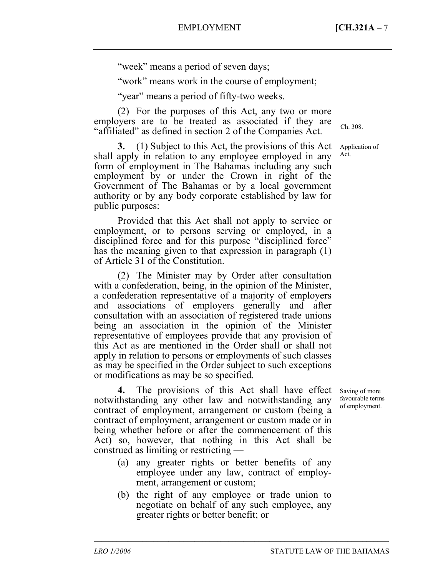"week" means a period of seven days;

"work" means work in the course of employment;

"year" means a period of fifty-two weeks.

(2) For the purposes of this Act, any two or more employers are to be treated as associated if they are "affiliated" as defined in section 2 of the Companies Act.

**3.** (1) Subject to this Act, the provisions of this Act shall apply in relation to any employee employed in any form of employment in The Bahamas including any such employment by or under the Crown in right of the Government of The Bahamas or by a local government authority or by any body corporate established by law for public purposes:

Provided that this Act shall not apply to service or employment, or to persons serving or employed, in a disciplined force and for this purpose "disciplined force" has the meaning given to that expression in paragraph (1) of Article 31 of the Constitution.

(2) The Minister may by Order after consultation with a confederation, being, in the opinion of the Minister, a confederation representative of a majority of employers and associations of employers generally and after consultation with an association of registered trade unions being an association in the opinion of the Minister representative of employees provide that any provision of this Act as are mentioned in the Order shall or shall not apply in relation to persons or employments of such classes as may be specified in the Order subject to such exceptions or modifications as may be so specified.

**4.** The provisions of this Act shall have effect notwithstanding any other law and notwithstanding any contract of employment, arrangement or custom (being a contract of employment, arrangement or custom made or in being whether before or after the commencement of this Act) so, however, that nothing in this Act shall be construed as limiting or restricting —

- (a) any greater rights or better benefits of any employee under any law, contract of employment, arrangement or custom;
- (b) the right of any employee or trade union to negotiate on behalf of any such employee, any greater rights or better benefit; or

–––––––––––––––––––––––––––––––––––––––––––––––––––––––––––––––––––––––––––––––

Saving of more favourable terms of employment.

Application of Act.

Ch. 308.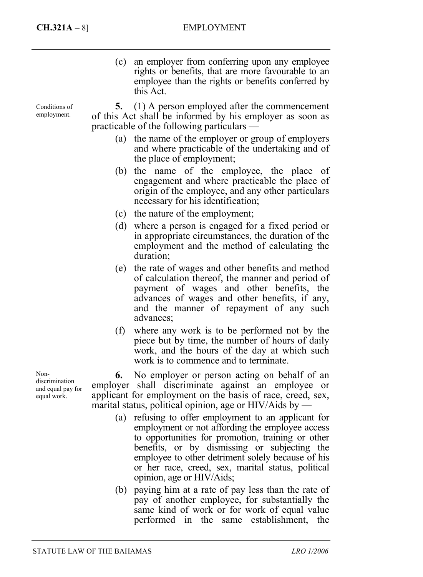Conditions of employment.

**CH.321A –** 8] EMPLOYMENT

(c) an employer from conferring upon any employee rights or benefits, that are more favourable to an employee than the rights or benefits conferred by this Act.

**5.** (1) A person employed after the commencement of this Act shall be informed by his employer as soon as practicable of the following particulars —

- (a) the name of the employer or group of employers and where practicable of the undertaking and of the place of employment;
- (b) the name of the employee, the place of engagement and where practicable the place of origin of the employee, and any other particulars necessary for his identification;
- (c) the nature of the employment;
- (d) where a person is engaged for a fixed period or in appropriate circumstances, the duration of the employment and the method of calculating the duration;
- (e) the rate of wages and other benefits and method of calculation thereof, the manner and period of payment of wages and other benefits, the advances of wages and other benefits, if any, and the manner of repayment of any such advances;
- (f) where any work is to be performed not by the piece but by time, the number of hours of daily work, and the hours of the day at which such work is to commence and to terminate.

**6.** No employer or person acting on behalf of an employer shall discriminate against an employee or applicant for employment on the basis of race, creed, sex, marital status, political opinion, age or HIV/Aids by  $-$ 

- (a) refusing to offer employment to an applicant for employment or not affording the employee access to opportunities for promotion, training or other benefits, or by dismissing or subjecting the employee to other detriment solely because of his or her race, creed, sex, marital status, political opinion, age or HIV/Aids;
- (b) paying him at a rate of pay less than the rate of pay of another employee, for substantially the same kind of work or for work of equal value performed in the same establishment, the

Nondiscrimination and equal pay for equal work.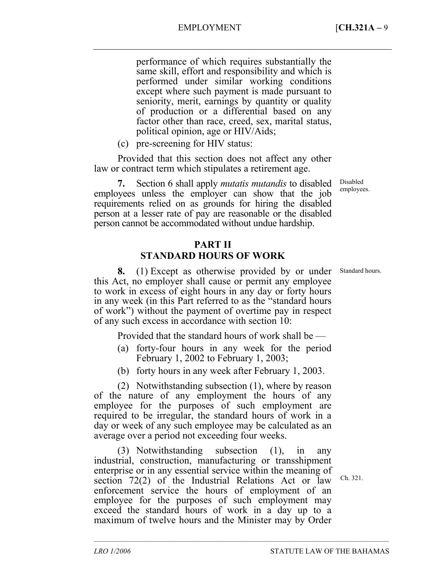performance of which requires substantially the same skill, effort and responsibility and which is performed under similar working conditions except where such payment is made pursuant to seniority, merit, earnings by quantity or quality of production or a differential based on any factor other than race, creed, sex, marital status, political opinion, age or HIV/Aids;

(c) pre-screening for HIV status:

Provided that this section does not affect any other law or contract term which stipulates a retirement age.

**7.** Section 6 shall apply *mutatis mutandis* to disabled employees unless the employer can show that the job requirements relied on as grounds for hiring the disabled person at a lesser rate of pay are reasonable or the disabled person cannot be accommodated without undue hardship.

## **PART II STANDARD HOURS OF WORK**

**8.** (1) Except as otherwise provided by or under this Act, no employer shall cause or permit any employee to work in excess of eight hours in any day or forty hours in any week (in this Part referred to as the "standard hours of work") without the payment of overtime pay in respect of any such excess in accordance with section 10:

Provided that the standard hours of work shall be —

- (a) forty-four hours in any week for the period February 1, 2002 to February 1, 2003;
- (b) forty hours in any week after February 1, 2003.

(2) Notwithstanding subsection (1), where by reason of the nature of any employment the hours of any employee for the purposes of such employment are required to be irregular, the standard hours of work in a day or week of any such employee may be calculated as an average over a period not exceeding four weeks.

(3) Notwithstanding subsection (1), in any industrial, construction, manufacturing or transshipment enterprise or in any essential service within the meaning of section 72(2) of the Industrial Relations Act or law enforcement service the hours of employment of an employee for the purposes of such employment may exceed the standard hours of work in a day up to a maximum of twelve hours and the Minister may by Order

–––––––––––––––––––––––––––––––––––––––––––––––––––––––––––––––––––––––––––––––

employees.

Disabled

Standard hours.

Ch. 321.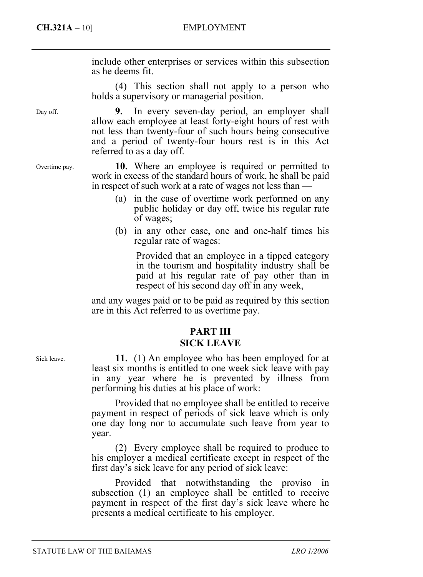## **CH.321A –** 10] EMPLOYMENT

include other enterprises or services within this subsection as he deems fit.

(4) This section shall not apply to a person who holds a supervisory or managerial position.

**9.** In every seven-day period, an employer shall allow each employee at least forty-eight hours of rest with not less than twenty-four of such hours being consecutive and a period of twenty-four hours rest is in this Act referred to as a day off.

**10.** Where an employee is required or permitted to work in excess of the standard hours of work, he shall be paid in respect of such work at a rate of wages not less than —

- (a) in the case of overtime work performed on any public holiday or day off, twice his regular rate of wages;
- (b) in any other case, one and one-half times his regular rate of wages:

Provided that an employee in a tipped category in the tourism and hospitality industry shall be paid at his regular rate of pay other than in respect of his second day off in any week,

and any wages paid or to be paid as required by this section are in this Act referred to as overtime pay.

## **PART III**

## **SICK LEAVE**

**11.** (1) An employee who has been employed for at least six months is entitled to one week sick leave with pay in any year where he is prevented by illness from performing his duties at his place of work:

Provided that no employee shall be entitled to receive payment in respect of periods of sick leave which is only one day long nor to accumulate such leave from year to year.

(2) Every employee shall be required to produce to his employer a medical certificate except in respect of the first day's sick leave for any period of sick leave:

Provided that notwithstanding the proviso in subsection (1) an employee shall be entitled to receive payment in respect of the first day's sick leave where he presents a medical certificate to his employer.

Sick leave.

Day off.

Overtime pay.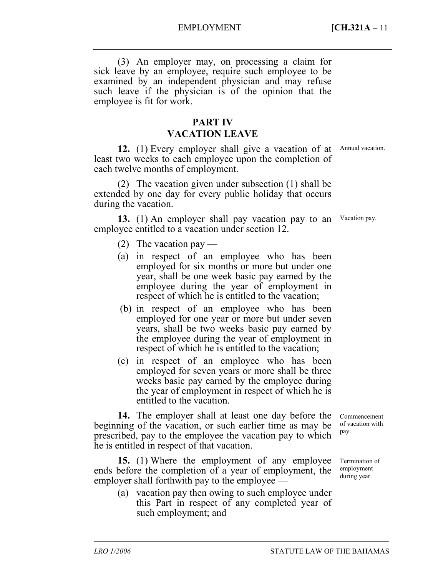EMPLOYMENT [**CH.321A –** 11

(3) An employer may, on processing a claim for sick leave by an employee, require such employee to be examined by an independent physician and may refuse such leave if the physician is of the opinion that the employee is fit for work.

#### **PART IV VACATION LEAVE**

**12.** (1) Every employer shall give a vacation of at least two weeks to each employee upon the completion of each twelve months of employment. Annual vacation.

(2) The vacation given under subsection (1) shall be extended by one day for every public holiday that occurs during the vacation.

**13.** (1) An employer shall pay vacation pay to an employee entitled to a vacation under section 12. Vacation pay.

- (2) The vacation pay —
- (a) in respect of an employee who has been employed for six months or more but under one year, shall be one week basic pay earned by the employee during the year of employment in respect of which he is entitled to the vacation;
- (b) in respect of an employee who has been employed for one year or more but under seven years, shall be two weeks basic pay earned by the employee during the year of employment in respect of which he is entitled to the vacation;
- (c) in respect of an employee who has been employed for seven years or more shall be three weeks basic pay earned by the employee during the year of employment in respect of which he is entitled to the vacation.

**14.** The employer shall at least one day before the beginning of the vacation, or such earlier time as may be prescribed, pay to the employee the vacation pay to which he is entitled in respect of that vacation.

**15.** (1) Where the employment of any employee ends before the completion of a year of employment, the employer shall forthwith pay to the employee —

(a) vacation pay then owing to such employee under this Part in respect of any completed year of such employment; and

–––––––––––––––––––––––––––––––––––––––––––––––––––––––––––––––––––––––––––––––

Commencement of vacation with pay.

Termination of employment during year.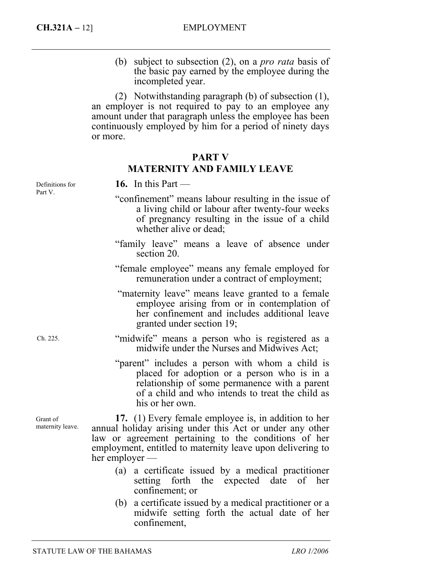(b) subject to subsection (2), on a *pro rata* basis of the basic pay earned by the employee during the incompleted year.

(2) Notwithstanding paragraph (b) of subsection (1), an employer is not required to pay to an employee any amount under that paragraph unless the employee has been continuously employed by him for a period of ninety days or more.

## **PART V MATERNITY AND FAMILY LEAVE**

**16.** In this Part —

- "confinement" means labour resulting in the issue of a living child or labour after twenty-four weeks of pregnancy resulting in the issue of a child whether alive or dead;
- "family leave" means a leave of absence under section 20.
- "female employee" means any female employed for remuneration under a contract of employment;
- "maternity leave" means leave granted to a female employee arising from or in contemplation of her confinement and includes additional leave granted under section 19;
- "midwife" means a person who is registered as a midwife under the Nurses and Midwives Act;
- "parent" includes a person with whom a child is placed for adoption or a person who is in a relationship of some permanence with a parent of a child and who intends to treat the child as his or her own.

**17.** (1) Every female employee is, in addition to her annual holiday arising under this Act or under any other law or agreement pertaining to the conditions of her employment, entitled to maternity leave upon delivering to her employer —

- (a) a certificate issued by a medical practitioner setting forth the expected date of her confinement; or
- (b) a certificate issued by a medical practitioner or a midwife setting forth the actual date of her confinement,

Definitions for Part V.

Ch. 225.

Grant of maternity leave.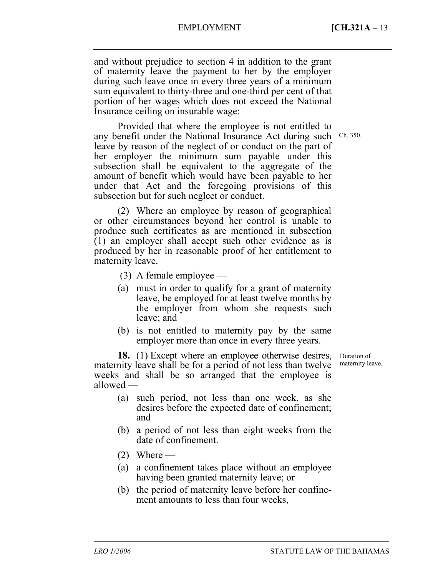and without prejudice to section 4 in addition to the grant of maternity leave the payment to her by the employer during such leave once in every three years of a minimum sum equivalent to thirty-three and one-third per cent of that portion of her wages which does not exceed the National Insurance ceiling on insurable wage:

Provided that where the employee is not entitled to any benefit under the National Insurance Act during such Ch. 350. leave by reason of the neglect of or conduct on the part of her employer the minimum sum payable under this subsection shall be equivalent to the aggregate of the amount of benefit which would have been payable to her under that Act and the foregoing provisions of this subsection but for such neglect or conduct.

(2) Where an employee by reason of geographical or other circumstances beyond her control is unable to produce such certificates as are mentioned in subsection (1) an employer shall accept such other evidence as is produced by her in reasonable proof of her entitlement to maternity leave.

- (3) A female employee —
- (a) must in order to qualify for a grant of maternity leave, be employed for at least twelve months by the employer from whom she requests such leave; and
- (b) is not entitled to maternity pay by the same employer more than once in every three years.

**18.** (1) Except where an employee otherwise desires, maternity leave shall be for a period of not less than twelve weeks and shall be so arranged that the employee is allowed —

- (a) such period, not less than one week, as she desires before the expected date of confinement; and
- (b) a period of not less than eight weeks from the date of confinement.
- $(2)$  Where —
- (a) a confinement takes place without an employee having been granted maternity leave; or
- (b) the period of maternity leave before her confinement amounts to less than four weeks,

–––––––––––––––––––––––––––––––––––––––––––––––––––––––––––––––––––––––––––––––

Duration of maternity leave.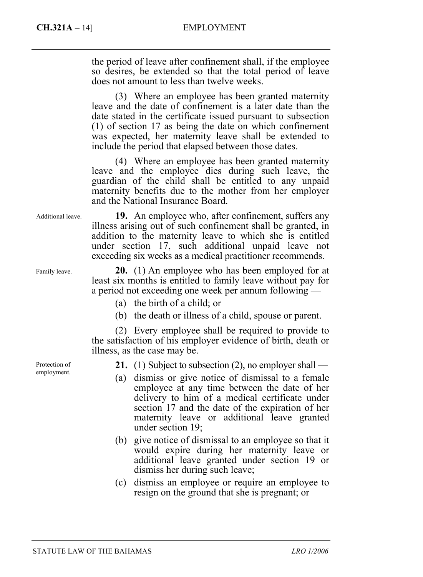## **CH.321A –** 14] EMPLOYMENT

the period of leave after confinement shall, if the employee so desires, be extended so that the total period of leave does not amount to less than twelve weeks.

(3) Where an employee has been granted maternity leave and the date of confinement is a later date than the date stated in the certificate issued pursuant to subsection (1) of section 17 as being the date on which confinement was expected, her maternity leave shall be extended to include the period that elapsed between those dates.

(4) Where an employee has been granted maternity leave and the employee dies during such leave, the guardian of the child shall be entitled to any unpaid maternity benefits due to the mother from her employer and the National Insurance Board.

Additional leave.

Family leave.

**19.** An employee who, after confinement, suffers any illness arising out of such confinement shall be granted, in addition to the maternity leave to which she is entitled under section 17, such additional unpaid leave not exceeding six weeks as a medical practitioner recommends.

**20.** (1) An employee who has been employed for at least six months is entitled to family leave without pay for a period not exceeding one week per annum following —

- (a) the birth of a child; or
- (b) the death or illness of a child, spouse or parent.

(2) Every employee shall be required to provide to the satisfaction of his employer evidence of birth, death or illness, as the case may be.

Protection of employment.

- **21.** (1) Subject to subsection (2), no employer shall —
- (a) dismiss or give notice of dismissal to a female employee at any time between the date of her delivery to him of a medical certificate under section 17 and the date of the expiration of her maternity leave or additional leave granted under section 19;
- (b) give notice of dismissal to an employee so that it would expire during her maternity leave or additional leave granted under section 19 or dismiss her during such leave;
- (c) dismiss an employee or require an employee to resign on the ground that she is pregnant; or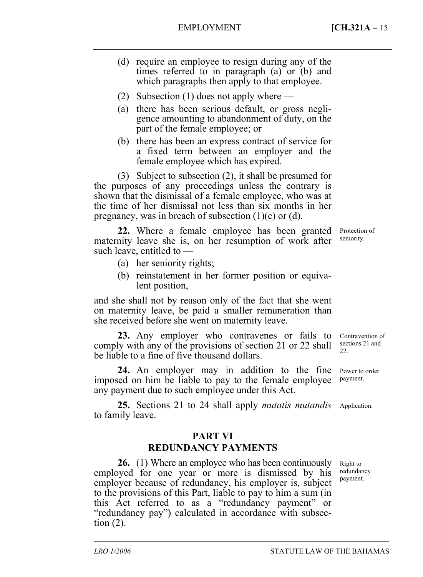- 
- (d) require an employee to resign during any of the times referred to in paragraph (a) or (b) and which paragraphs then apply to that employee.
- (2) Subsection (1) does not apply where —
- (a) there has been serious default, or gross negligence amounting to abandonment of duty, on the part of the female employee; or
- (b) there has been an express contract of service for a fixed term between an employer and the female employee which has expired.

(3) Subject to subsection (2), it shall be presumed for the purposes of any proceedings unless the contrary is shown that the dismissal of a female employee, who was at the time of her dismissal not less than six months in her pregnancy, was in breach of subsection  $(1)(c)$  or  $(d)$ .

**22.** Where a female employee has been granted maternity leave she is, on her resumption of work after such leave, entitled to —

- (a) her seniority rights;
- (b) reinstatement in her former position or equivalent position,

and she shall not by reason only of the fact that she went on maternity leave, be paid a smaller remuneration than she received before she went on maternity leave.

**23.** Any employer who contravenes or fails to comply with any of the provisions of section 21 or 22 shall be liable to a fine of five thousand dollars.

**24.** An employer may in addition to the fine imposed on him be liable to pay to the female employee any payment due to such employee under this Act.

**25.** Sections 21 to 24 shall apply *mutatis mutandis* to family leave. Application.

## **PART VI REDUNDANCY PAYMENTS**

**26.** (1) Where an employee who has been continuously employed for one year or more is dismissed by his employer because of redundancy, his employer is, subject to the provisions of this Part, liable to pay to him a sum (in this Act referred to as a "redundancy payment" or "redundancy pay") calculated in accordance with subsection (2).

Right to redundancy payment.

Protection of seniority.

Contravention of sections 21 and 22.

Power to order payment.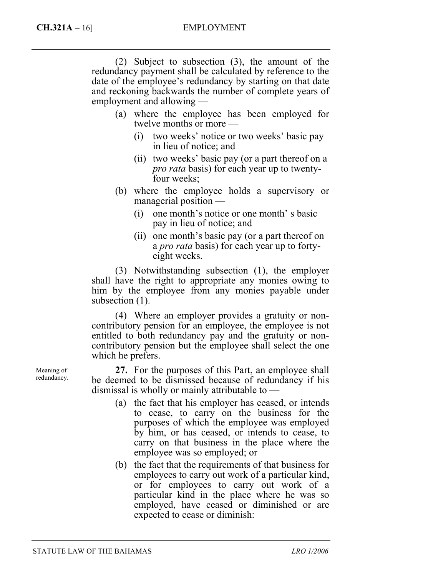### **CH.321A –** 16] EMPLOYMENT

(2) Subject to subsection (3), the amount of the redundancy payment shall be calculated by reference to the date of the employee's redundancy by starting on that date and reckoning backwards the number of complete years of employment and allowing —

- (a) where the employee has been employed for twelve months or more —
	- (i) two weeks' notice or two weeks' basic pay in lieu of notice; and
	- (ii) two weeks' basic pay (or a part thereof on a *pro rata* basis) for each year up to twentyfour weeks;
- (b) where the employee holds a supervisory or managerial position —
	- (i) one month's notice or one month' s basic pay in lieu of notice; and
	- (ii) one month's basic pay (or a part thereof on a *pro rata* basis) for each year up to fortyeight weeks.

(3) Notwithstanding subsection (1), the employer shall have the right to appropriate any monies owing to him by the employee from any monies payable under subsection  $(1)$ .

(4) Where an employer provides a gratuity or noncontributory pension for an employee, the employee is not entitled to both redundancy pay and the gratuity or noncontributory pension but the employee shall select the one which he prefers.

**27.** For the purposes of this Part, an employee shall be deemed to be dismissed because of redundancy if his dismissal is wholly or mainly attributable to —

- (a) the fact that his employer has ceased, or intends to cease, to carry on the business for the purposes of which the employee was employed by him, or has ceased, or intends to cease, to carry on that business in the place where the employee was so employed; or
- (b) the fact that the requirements of that business for employees to carry out work of a particular kind, or for employees to carry out work of a particular kind in the place where he was so employed, have ceased or diminished or are expected to cease or diminish:

Meaning of redundancy.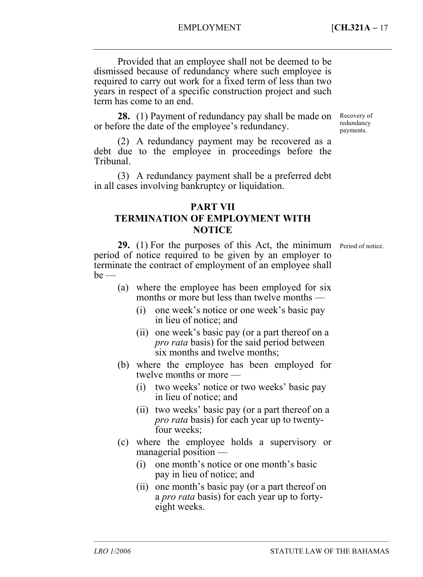Provided that an employee shall not be deemed to be dismissed because of redundancy where such employee is required to carry out work for a fixed term of less than two years in respect of a specific construction project and such term has come to an end.

**28.** (1) Payment of redundancy pay shall be made on or before the date of the employee's redundancy.

Recovery of redundancy payments.

(2) A redundancy payment may be recovered as a debt due to the employee in proceedings before the Tribunal.

(3) A redundancy payment shall be a preferred debt in all cases involving bankruptcy or liquidation.

## **PART VII**

## **TERMINATION OF EMPLOYMENT WITH NOTICE**

29. (1) For the purposes of this Act, the minimum Period of notice. period of notice required to be given by an employer to terminate the contract of employment of an employee shall  $be$  —

- (a) where the employee has been employed for six months or more but less than twelve months —
	- (i) one week's notice or one week's basic pay in lieu of notice; and
	- (ii) one week's basic pay (or a part thereof on a *pro rata* basis) for the said period between six months and twelve months;
- (b) where the employee has been employed for twelve months or more —
	- (i) two weeks' notice or two weeks' basic pay in lieu of notice; and
	- (ii) two weeks' basic pay (or a part thereof on a *pro rata* basis) for each year up to twentyfour weeks;
- (c) where the employee holds a supervisory or managerial position —
	- (i) one month's notice or one month's basic pay in lieu of notice; and
	- (ii) one month's basic pay (or a part thereof on a *pro rata* basis) for each year up to fortyeight weeks.

–––––––––––––––––––––––––––––––––––––––––––––––––––––––––––––––––––––––––––––––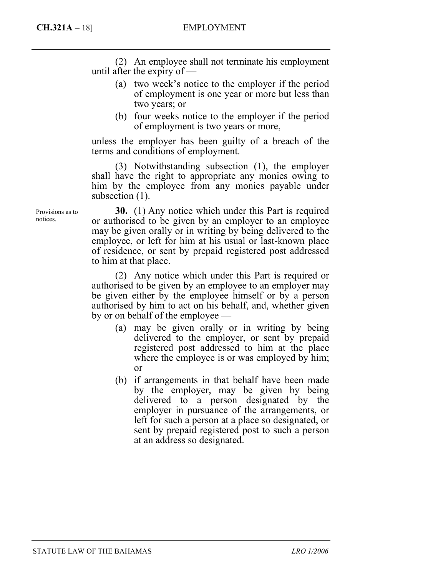(2) An employee shall not terminate his employment until after the expiry of —

- (a) two week's notice to the employer if the period of employment is one year or more but less than two years; or
- (b) four weeks notice to the employer if the period of employment is two years or more,

unless the employer has been guilty of a breach of the terms and conditions of employment.

(3) Notwithstanding subsection (1), the employer shall have the right to appropriate any monies owing to him by the employee from any monies payable under subsection  $(1)$ .

**30.** (1) Any notice which under this Part is required or authorised to be given by an employer to an employee may be given orally or in writing by being delivered to the employee, or left for him at his usual or last-known place of residence, or sent by prepaid registered post addressed to him at that place.

(2) Any notice which under this Part is required or authorised to be given by an employee to an employer may be given either by the employee himself or by a person authorised by him to act on his behalf, and, whether given by or on behalf of the employee —

- (a) may be given orally or in writing by being delivered to the employer, or sent by prepaid registered post addressed to him at the place where the employee is or was employed by him; or
- (b) if arrangements in that behalf have been made by the employer, may be given by being delivered to a person designated by the employer in pursuance of the arrangements, or left for such a person at a place so designated, or sent by prepaid registered post to such a person at an address so designated.

Provisions as to notices.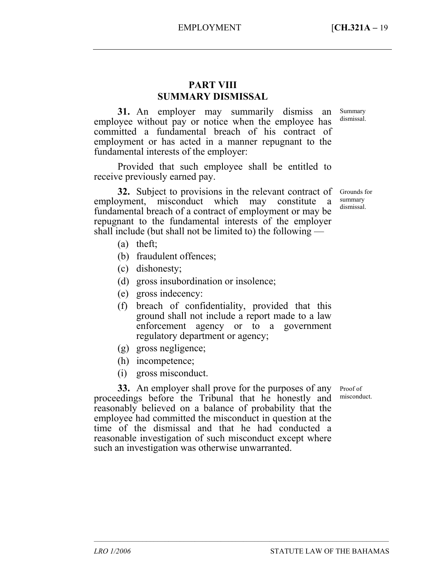## **PART VIII SUMMARY DISMISSAL**

**31.** An employer may summarily dismiss an employee without pay or notice when the employee has committed a fundamental breach of his contract of employment or has acted in a manner repugnant to the fundamental interests of the employer:

Provided that such employee shall be entitled to receive previously earned pay.

**32.** Subject to provisions in the relevant contract of employment, misconduct which may constitute a fundamental breach of a contract of employment or may be repugnant to the fundamental interests of the employer shall include (but shall not be limited to) the following —

dismissal.

Summary

Grounds for summary dismissal.

- (a) theft;
- (b) fraudulent offences;
- (c) dishonesty;
- (d) gross insubordination or insolence;
- (e) gross indecency:
- (f) breach of confidentiality, provided that this ground shall not include a report made to a law enforcement agency or to a government regulatory department or agency;
- (g) gross negligence;
- (h) incompetence;
- (i) gross misconduct.

**33.** An employer shall prove for the purposes of any proceedings before the Tribunal that he honestly and reasonably believed on a balance of probability that the employee had committed the misconduct in question at the time of the dismissal and that he had conducted a reasonable investigation of such misconduct except where such an investigation was otherwise unwarranted.

–––––––––––––––––––––––––––––––––––––––––––––––––––––––––––––––––––––––––––––––

Proof of misconduct.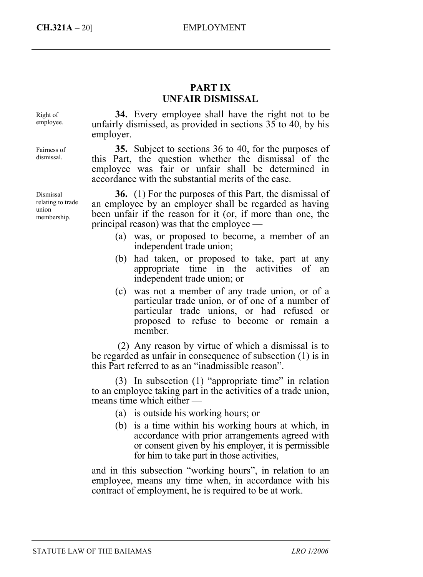## **PART IX UNFAIR DISMISSAL**

Right of employee.

Fairness of dismissal.

Dismissal relating to trade union membership.

**34.** Every employee shall have the right not to be unfairly dismissed, as provided in sections 35 to 40, by his employer.

**35.** Subject to sections 36 to 40, for the purposes of this Part, the question whether the dismissal of the employee was fair or unfair shall be determined in accordance with the substantial merits of the case.

**36.** (1) For the purposes of this Part, the dismissal of an employee by an employer shall be regarded as having been unfair if the reason for it (or, if more than one, the principal reason) was that the employee —

- (a) was, or proposed to become, a member of an independent trade union;
- (b) had taken, or proposed to take, part at any appropriate time in the activities of an independent trade union; or
- (c) was not a member of any trade union, or of a particular trade union, or of one of a number of particular trade unions, or had refused or proposed to refuse to become or remain a member.

 (2) Any reason by virtue of which a dismissal is to be regarded as unfair in consequence of subsection (1) is in this Part referred to as an "inadmissible reason".

(3) In subsection (1) "appropriate time" in relation to an employee taking part in the activities of a trade union, means time which either —

- (a) is outside his working hours; or
- (b) is a time within his working hours at which, in accordance with prior arrangements agreed with or consent given by his employer, it is permissible for him to take part in those activities,

and in this subsection "working hours", in relation to an employee, means any time when, in accordance with his contract of employment, he is required to be at work.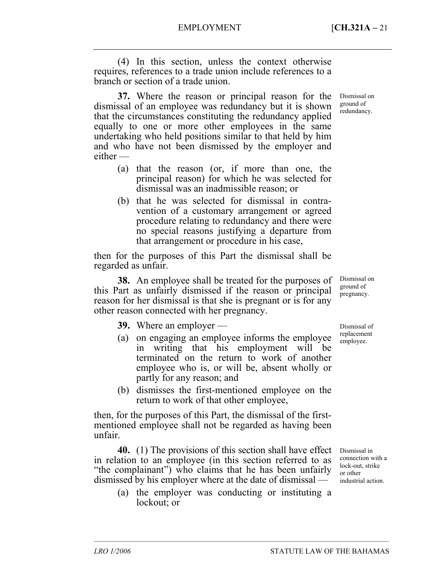(4) In this section, unless the context otherwise requires, references to a trade union include references to a branch or section of a trade union.

**37.** Where the reason or principal reason for the dismissal of an employee was redundancy but it is shown that the circumstances constituting the redundancy applied equally to one or more other employees in the same undertaking who held positions similar to that held by him and who have not been dismissed by the employer and either —

- (a) that the reason (or, if more than one, the principal reason) for which he was selected for dismissal was an inadmissible reason; or
- (b) that he was selected for dismissal in contravention of a customary arrangement or agreed procedure relating to redundancy and there were no special reasons justifying a departure from that arrangement or procedure in his case,

then for the purposes of this Part the dismissal shall be regarded as unfair.

**38.** An employee shall be treated for the purposes of this Part as unfairly dismissed if the reason or principal reason for her dismissal is that she is pregnant or is for any other reason connected with her pregnancy.

**39.** Where an employer —

- (a) on engaging an employee informs the employee in writing that his employment will be terminated on the return to work of another employee who is, or will be, absent wholly or partly for any reason; and
- (b) dismisses the first-mentioned employee on the return to work of that other employee,

then, for the purposes of this Part, the dismissal of the firstmentioned employee shall not be regarded as having been unfair.

**40.** (1) The provisions of this section shall have effect in relation to an employee (in this section referred to as "the complainant") who claims that he has been unfairly dismissed by his employer where at the date of dismissal —

(a) the employer was conducting or instituting a lockout; or

–––––––––––––––––––––––––––––––––––––––––––––––––––––––––––––––––––––––––––––––

Dismissal on ground of pregnancy.

Dismissal of replacement employee.

Dismissal in connection with a lock-out, strike or other industrial action.

Dismissal on ground of redundancy.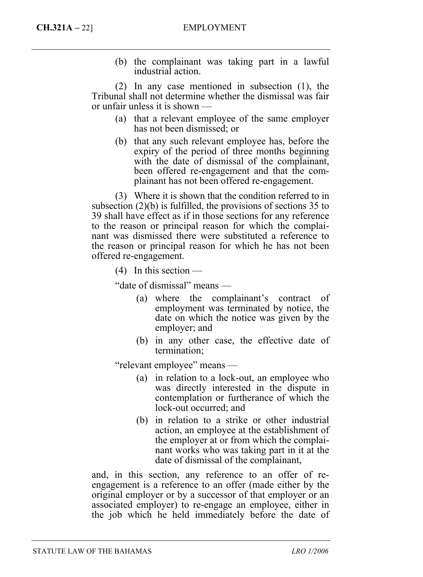(b) the complainant was taking part in a lawful industrial action.

(2) In any case mentioned in subsection (1), the Tribunal shall not determine whether the dismissal was fair or unfair unless it is shown —

- (a) that a relevant employee of the same employer has not been dismissed; or
- (b) that any such relevant employee has, before the expiry of the period of three months beginning with the date of dismissal of the complainant, been offered re-engagement and that the complainant has not been offered re-engagement.

(3) Where it is shown that the condition referred to in subsection (2)(b) is fulfilled, the provisions of sections 35 to 39 shall have effect as if in those sections for any reference to the reason or principal reason for which the complainant was dismissed there were substituted a reference to the reason or principal reason for which he has not been offered re-engagement.

(4) In this section —

"date of dismissal" means —

- (a) where the complainant's contract of employment was terminated by notice, the date on which the notice was given by the employer; and
- (b) in any other case, the effective date of termination;

"relevant employee" means —

- (a) in relation to a lock-out, an employee who was directly interested in the dispute in contemplation or furtherance of which the lock-out occurred; and
- (b) in relation to a strike or other industrial action, an employee at the establishment of the employer at or from which the complainant works who was taking part in it at the date of dismissal of the complainant,

and, in this section, any reference to an offer of reengagement is a reference to an offer (made either by the original employer or by a successor of that employer or an associated employer) to re-engage an employee, either in the job which he held immediately before the date of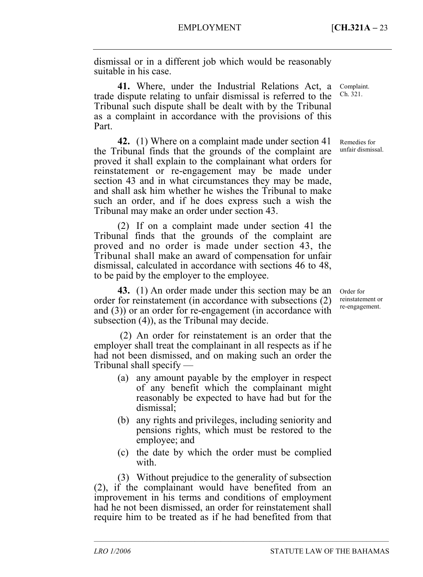dismissal or in a different job which would be reasonably suitable in his case.

**41.** Where, under the Industrial Relations Act, a trade dispute relating to unfair dismissal is referred to the Tribunal such dispute shall be dealt with by the Tribunal as a complaint in accordance with the provisions of this Part.

**42.** (1) Where on a complaint made under section 41 the Tribunal finds that the grounds of the complaint are proved it shall explain to the complainant what orders for reinstatement or re-engagement may be made under section 43 and in what circumstances they may be made, and shall ask him whether he wishes the Tribunal to make such an order, and if he does express such a wish the Tribunal may make an order under section 43.

(2) If on a complaint made under section 41 the Tribunal finds that the grounds of the complaint are proved and no order is made under section 43, the Tribunal shall make an award of compensation for unfair dismissal, calculated in accordance with sections 46 to 48, to be paid by the employer to the employee.

**43.** (1) An order made under this section may be an order for reinstatement (in accordance with subsections (2) and (3)) or an order for re-engagement (in accordance with subsection (4)), as the Tribunal may decide.

 (2) An order for reinstatement is an order that the employer shall treat the complainant in all respects as if he had not been dismissed, and on making such an order the Tribunal shall specify —

- (a) any amount payable by the employer in respect of any benefit which the complainant might reasonably be expected to have had but for the dismissal;
- (b) any rights and privileges, including seniority and pensions rights, which must be restored to the employee; and
- (c) the date by which the order must be complied with

–––––––––––––––––––––––––––––––––––––––––––––––––––––––––––––––––––––––––––––––

(3) Without prejudice to the generality of subsection (2), if the complainant would have benefited from an improvement in his terms and conditions of employment had he not been dismissed, an order for reinstatement shall require him to be treated as if he had benefited from that

Complaint. Ch. 321.

Remedies for unfair dismissal.

Order for reinstatement or re-engagement.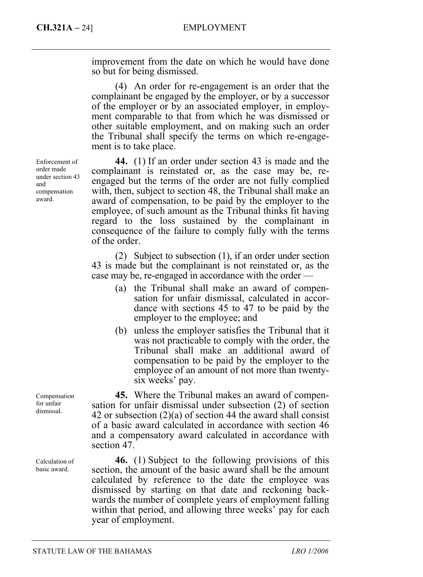improvement from the date on which he would have done so but for being dismissed.

(4) An order for re-engagement is an order that the complainant be engaged by the employer, or by a successor of the employer or by an associated employer, in employment comparable to that from which he was dismissed or other suitable employment, and on making such an order the Tribunal shall specify the terms on which re-engagement is to take place.

**44.** (1) If an order under section 43 is made and the complainant is reinstated or, as the case may be, reengaged but the terms of the order are not fully complied with, then, subject to section 48, the Tribunal shall make an award of compensation, to be paid by the employer to the employee, of such amount as the Tribunal thinks fit having regard to the loss sustained by the complainant in consequence of the failure to comply fully with the terms of the order.

(2) Subject to subsection (1), if an order under section 43 is made but the complainant is not reinstated or, as the case may be, re-engaged in accordance with the order —

- (a) the Tribunal shall make an award of compensation for unfair dismissal, calculated in accordance with sections 45 to 47 to be paid by the employer to the employee; and
- (b) unless the employer satisfies the Tribunal that it was not practicable to comply with the order, the Tribunal shall make an additional award of compensation to be paid by the employer to the employee of an amount of not more than twentysix weeks' pay.

**45.** Where the Tribunal makes an award of compensation for unfair dismissal under subsection (2) of section 42 or subsection (2)(a) of section 44 the award shall consist of a basic award calculated in accordance with section 46 and a compensatory award calculated in accordance with section 47.

**46.** (1) Subject to the following provisions of this section, the amount of the basic award shall be the amount calculated by reference to the date the employee was dismissed by starting on that date and reckoning backwards the number of complete years of employment falling within that period, and allowing three weeks' pay for each year of employment.

Enforcement of order made under section 43 and compensation award.

Compensation for unfair dismissal.

Calculation of basic award.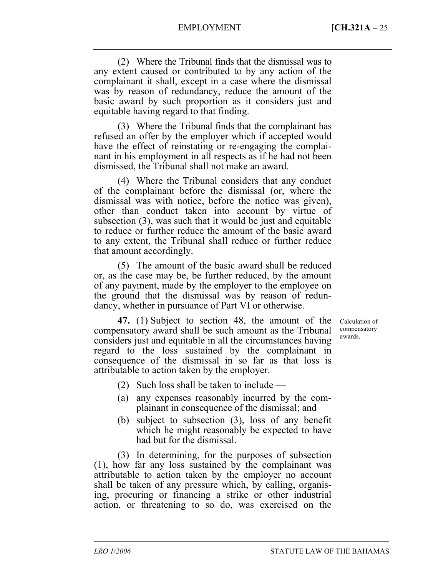(2) Where the Tribunal finds that the dismissal was to any extent caused or contributed to by any action of the complainant it shall, except in a case where the dismissal was by reason of redundancy, reduce the amount of the basic award by such proportion as it considers just and equitable having regard to that finding.

(3) Where the Tribunal finds that the complainant has refused an offer by the employer which if accepted would have the effect of reinstating or re-engaging the complainant in his employment in all respects as if he had not been dismissed, the Tribunal shall not make an award.

(4) Where the Tribunal considers that any conduct of the complainant before the dismissal (or, where the dismissal was with notice, before the notice was given), other than conduct taken into account by virtue of subsection (3), was such that it would be just and equitable to reduce or further reduce the amount of the basic award to any extent, the Tribunal shall reduce or further reduce that amount accordingly.

(5) The amount of the basic award shall be reduced or, as the case may be, be further reduced, by the amount of any payment, made by the employer to the employee on the ground that the dismissal was by reason of redundancy, whether in pursuance of Part VI or otherwise.

**47.** (1) Subject to section 48, the amount of the compensatory award shall be such amount as the Tribunal considers just and equitable in all the circumstances having regard to the loss sustained by the complainant in consequence of the dismissal in so far as that loss is attributable to action taken by the employer.

- (2) Such loss shall be taken to include —
- (a) any expenses reasonably incurred by the complainant in consequence of the dismissal; and
- (b) subject to subsection (3), loss of any benefit which he might reasonably be expected to have had but for the dismissal.

–––––––––––––––––––––––––––––––––––––––––––––––––––––––––––––––––––––––––––––––

(3) In determining, for the purposes of subsection (1), how far any loss sustained by the complainant was attributable to action taken by the employer no account shall be taken of any pressure which, by calling, organising, procuring or financing a strike or other industrial action, or threatening to so do, was exercised on the

Calculation of compensatory awards.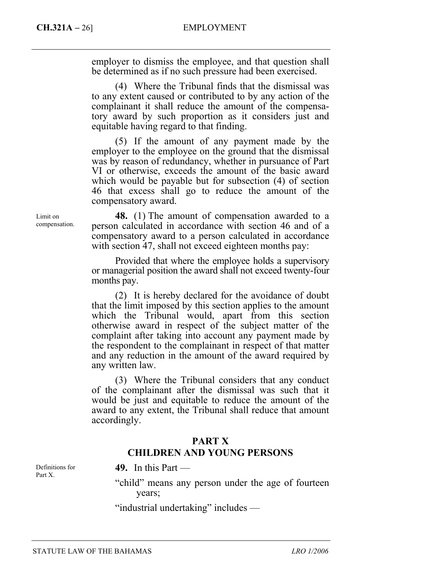## **CH.321A –** 26] EMPLOYMENT

employer to dismiss the employee, and that question shall be determined as if no such pressure had been exercised.

(4) Where the Tribunal finds that the dismissal was to any extent caused or contributed to by any action of the complainant it shall reduce the amount of the compensatory award by such proportion as it considers just and equitable having regard to that finding.

(5) If the amount of any payment made by the employer to the employee on the ground that the dismissal was by reason of redundancy, whether in pursuance of Part VI or otherwise, exceeds the amount of the basic award which would be payable but for subsection (4) of section 46 that excess shall go to reduce the amount of the compensatory award.

**48.** (1) The amount of compensation awarded to a person calculated in accordance with section 46 and of a compensatory award to a person calculated in accordance with section 47, shall not exceed eighteen months pay:

Provided that where the employee holds a supervisory or managerial position the award shall not exceed twenty-four months pay.

(2) It is hereby declared for the avoidance of doubt that the limit imposed by this section applies to the amount which the Tribunal would, apart from this section otherwise award in respect of the subject matter of the complaint after taking into account any payment made by the respondent to the complainant in respect of that matter and any reduction in the amount of the award required by any written law.

(3) Where the Tribunal considers that any conduct of the complainant after the dismissal was such that it would be just and equitable to reduce the amount of the award to any extent, the Tribunal shall reduce that amount accordingly.

## **PART X CHILDREN AND YOUNG PERSONS**

**49.** In this Part —

"child" means any person under the age of fourteen years;

"industrial undertaking" includes —

Limit on compensation.

Definitions for Part X.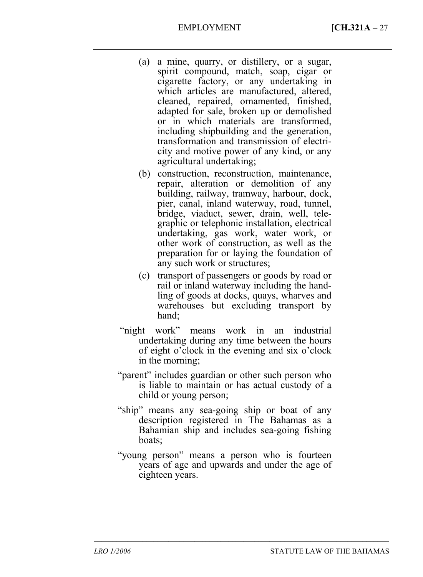- (a) a mine, quarry, or distillery, or a sugar, spirit compound, match, soap, cigar or cigarette factory, or any undertaking in which articles are manufactured, altered, cleaned, repaired, ornamented, finished, adapted for sale, broken up or demolished or in which materials are transformed, including shipbuilding and the generation, transformation and transmission of electricity and motive power of any kind, or any agricultural undertaking;
- (b) construction, reconstruction, maintenance, repair, alteration or demolition of any building, railway, tramway, harbour, dock, pier, canal, inland waterway, road, tunnel, bridge, viaduct, sewer, drain, well, telegraphic or telephonic installation, electrical undertaking, gas work, water work, or other work of construction, as well as the preparation for or laying the foundation of any such work or structures;
- (c) transport of passengers or goods by road or rail or inland waterway including the handling of goods at docks, quays, wharves and warehouses but excluding transport by hand;
- "night work" means work in an industrial undertaking during any time between the hours of eight o'clock in the evening and six o'clock in the morning;
- "parent" includes guardian or other such person who is liable to maintain or has actual custody of a child or young person;
- "ship" means any sea-going ship or boat of any description registered in The Bahamas as a Bahamian ship and includes sea-going fishing boats;
- "young person" means a person who is fourteen years of age and upwards and under the age of eighteen years.

–––––––––––––––––––––––––––––––––––––––––––––––––––––––––––––––––––––––––––––––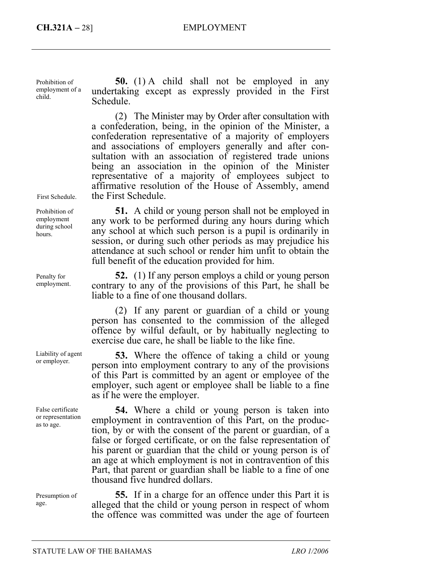## **CH.321A –** 28] EMPLOYMENT

Prohibition of employment of a child.

**50.** (1) A child shall not be employed in any undertaking except as expressly provided in the First Schedule.

(2) The Minister may by Order after consultation with a confederation, being, in the opinion of the Minister, a confederation representative of a majority of employers and associations of employers generally and after consultation with an association of registered trade unions being an association in the opinion of the Minister representative of a majority of employees subject to affirmative resolution of the House of Assembly, amend the First Schedule.

**51.** A child or young person shall not be employed in any work to be performed during any hours during which any school at which such person is a pupil is ordinarily in session, or during such other periods as may prejudice his attendance at such school or render him unfit to obtain the full benefit of the education provided for him.

**52.** (1) If any person employs a child or young person contrary to any of the provisions of this Part, he shall be liable to a fine of one thousand dollars.

(2) If any parent or guardian of a child or young person has consented to the commission of the alleged offence by wilful default, or by habitually neglecting to exercise due care, he shall be liable to the like fine.

**53.** Where the offence of taking a child or young person into employment contrary to any of the provisions of this Part is committed by an agent or employee of the employer, such agent or employee shall be liable to a fine as if he were the employer.

**54.** Where a child or young person is taken into employment in contravention of this Part, on the production, by or with the consent of the parent or guardian, of a false or forged certificate, or on the false representation of his parent or guardian that the child or young person is of an age at which employment is not in contravention of this Part, that parent or guardian shall be liable to a fine of one thousand five hundred dollars.

**55.** If in a charge for an offence under this Part it is alleged that the child or young person in respect of whom the offence was committed was under the age of fourteen

First Schedule.

Prohibition of employment during school hours.

Penalty for employment.

Liability of agent or employer.

False certificate or representation as to age.

Presumption of age.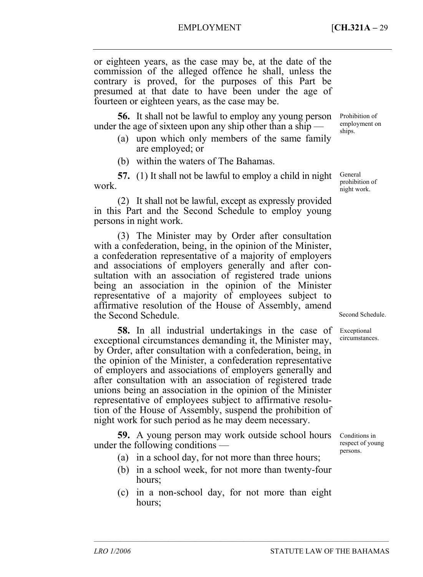or eighteen years, as the case may be, at the date of the commission of the alleged offence he shall, unless the contrary is proved, for the purposes of this Part be presumed at that date to have been under the age of fourteen or eighteen years, as the case may be.

**56.** It shall not be lawful to employ any young person under the age of sixteen upon any ship other than a ship —

- (a) upon which only members of the same family are employed; or
- (b) within the waters of The Bahamas.

**57.** (1) It shall not be lawful to employ a child in night work.

(2) It shall not be lawful, except as expressly provided in this Part and the Second Schedule to employ young persons in night work.

(3) The Minister may by Order after consultation with a confederation, being, in the opinion of the Minister, a confederation representative of a majority of employers and associations of employers generally and after consultation with an association of registered trade unions being an association in the opinion of the Minister representative of a majority of employees subject to affirmative resolution of the House of Assembly, amend the Second Schedule.

**58.** In all industrial undertakings in the case of exceptional circumstances demanding it, the Minister may, by Order, after consultation with a confederation, being, in the opinion of the Minister, a confederation representative of employers and associations of employers generally and after consultation with an association of registered trade unions being an association in the opinion of the Minister representative of employees subject to affirmative resolution of the House of Assembly, suspend the prohibition of night work for such period as he may deem necessary.

**59.** A young person may work outside school hours under the following conditions —

- (a) in a school day, for not more than three hours;
- (b) in a school week, for not more than twenty-four hours;
- (c) in a non-school day, for not more than eight hours;

–––––––––––––––––––––––––––––––––––––––––––––––––––––––––––––––––––––––––––––––

Prohibition of employment on ships.

General prohibition of night work.

Second Schedule.

Exceptional circumstances.

Conditions in respect of young persons.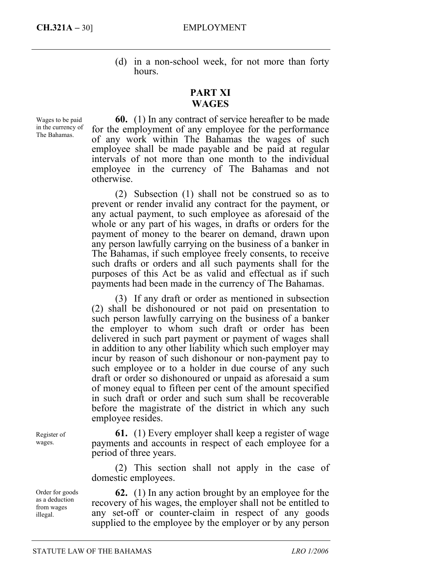(d) in a non-school week, for not more than forty hours.

### **PART XI WAGES**

Wages to be paid in the currency of The Bahamas.

**60.** (1) In any contract of service hereafter to be made for the employment of any employee for the performance of any work within The Bahamas the wages of such employee shall be made payable and be paid at regular intervals of not more than one month to the individual employee in the currency of The Bahamas and not otherwise.

(2) Subsection (1) shall not be construed so as to prevent or render invalid any contract for the payment, or any actual payment, to such employee as aforesaid of the whole or any part of his wages, in drafts or orders for the payment of money to the bearer on demand, drawn upon any person lawfully carrying on the business of a banker in The Bahamas, if such employee freely consents, to receive such drafts or orders and all such payments shall for the purposes of this Act be as valid and effectual as if such payments had been made in the currency of The Bahamas.

(3) If any draft or order as mentioned in subsection (2) shall be dishonoured or not paid on presentation to such person lawfully carrying on the business of a banker the employer to whom such draft or order has been delivered in such part payment or payment of wages shall in addition to any other liability which such employer may incur by reason of such dishonour or non-payment pay to such employee or to a holder in due course of any such draft or order so dishonoured or unpaid as aforesaid a sum of money equal to fifteen per cent of the amount specified in such draft or order and such sum shall be recoverable before the magistrate of the district in which any such employee resides.

**61.** (1) Every employer shall keep a register of wage payments and accounts in respect of each employee for a period of three years.

(2) This section shall not apply in the case of domestic employees.

Order for goods as a deduction from wages illegal.

Register of wages.

> **62.** (1) In any action brought by an employee for the recovery of his wages, the employer shall not be entitled to any set-off or counter-claim in respect of any goods supplied to the employee by the employer or by any person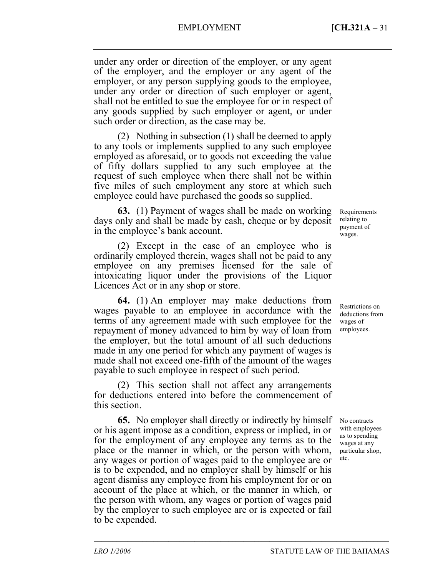under any order or direction of the employer, or any agent of the employer, and the employer or any agent of the employer, or any person supplying goods to the employee, under any order or direction of such employer or agent, shall not be entitled to sue the employee for or in respect of any goods supplied by such employer or agent, or under such order or direction, as the case may be.

(2) Nothing in subsection (1) shall be deemed to apply to any tools or implements supplied to any such employee employed as aforesaid, or to goods not exceeding the value of fifty dollars supplied to any such employee at the request of such employee when there shall not be within five miles of such employment any store at which such employee could have purchased the goods so supplied.

**63.** (1) Payment of wages shall be made on working days only and shall be made by cash, cheque or by deposit in the employee's bank account.

(2) Except in the case of an employee who is ordinarily employed therein, wages shall not be paid to any employee on any premises licensed for the sale of intoxicating liquor under the provisions of the Liquor Licences Act or in any shop or store.

**64.** (1) An employer may make deductions from wages payable to an employee in accordance with the terms of any agreement made with such employee for the repayment of money advanced to him by way of loan from the employer, but the total amount of all such deductions made in any one period for which any payment of wages is made shall not exceed one-fifth of the amount of the wages payable to such employee in respect of such period.

(2) This section shall not affect any arrangements for deductions entered into before the commencement of this section.

**65.** No employer shall directly or indirectly by himself or his agent impose as a condition, express or implied, in or for the employment of any employee any terms as to the place or the manner in which, or the person with whom, any wages or portion of wages paid to the employee are or is to be expended, and no employer shall by himself or his agent dismiss any employee from his employment for or on account of the place at which, or the manner in which, or the person with whom, any wages or portion of wages paid by the employer to such employee are or is expected or fail to be expended.

–––––––––––––––––––––––––––––––––––––––––––––––––––––––––––––––––––––––––––––––

Requirements relating to payment of wages.

Restrictions on deductions from wages of employees.

No contracts with employees as to spending wages at any particular shop, etc.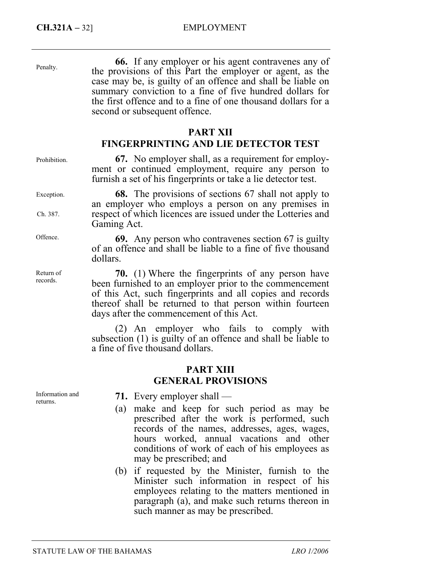| Penalty.              | <b>66.</b> If any employer or his agent contravenes any of<br>the provisions of this Part the employer or agent, as the<br>case may be, is guilty of an offence and shall be liable on<br>summary conviction to a fine of five hundred dollars for<br>the first offence and to a fine of one thousand dollars for a<br>second or subsequent offence. |  |  |
|-----------------------|------------------------------------------------------------------------------------------------------------------------------------------------------------------------------------------------------------------------------------------------------------------------------------------------------------------------------------------------------|--|--|
|                       | <b>PART XII</b>                                                                                                                                                                                                                                                                                                                                      |  |  |
|                       | <b>FINGERPRINTING AND LIE DETECTOR TEST</b>                                                                                                                                                                                                                                                                                                          |  |  |
| Prohibition.          | 67. No employer shall, as a requirement for employ-<br>ment or continued employment, require any person to<br>furnish a set of his fingerprints or take a lie detector test.                                                                                                                                                                         |  |  |
| Exception.            | <b>68.</b> The provisions of sections 67 shall not apply to<br>an employer who employs a person on any premises in<br>respect of which licences are issued under the Lotteries and<br>Gaming Act.                                                                                                                                                    |  |  |
| Ch. 387.              |                                                                                                                                                                                                                                                                                                                                                      |  |  |
| Offence.              | <b>69.</b> Any person who contravenes section 67 is guilty<br>of an offence and shall be liable to a fine of five thousand<br>dollars.                                                                                                                                                                                                               |  |  |
| Return of<br>records. | <b>70.</b> (1) Where the fingerprints of any person have<br>been furnished to an employer prior to the commencement<br>of this Act, such fingerprints and all copies and records<br>thereof shall be returned to that person within fourteen<br>days after the commencement of this Act.                                                             |  |  |
|                       | (2) An employer who fails to comply with<br>subsection (1) is guilty of an offence and shall be liable to<br>a fine of five thousand dollars.                                                                                                                                                                                                        |  |  |
|                       | <b>PART XIII</b><br><b>GENERAL PROVISIONS</b>                                                                                                                                                                                                                                                                                                        |  |  |
| Information and       | 71. Every employer shall —                                                                                                                                                                                                                                                                                                                           |  |  |
| returns.              | make and keep for such period as may be<br>(a)<br>prescribed after the work is performed, such                                                                                                                                                                                                                                                       |  |  |

- prescribed after the work is performed, such records of the names, addresses, ages, wages, hours worked, annual vacations and other conditions of work of each of his employees as may be prescribed; and
- (b) if requested by the Minister, furnish to the Minister such information in respect of his employees relating to the matters mentioned in paragraph (a), and make such returns thereon in such manner as may be prescribed.

STATUTE LAW OF THE BAHAMAS *LRO 1/2006*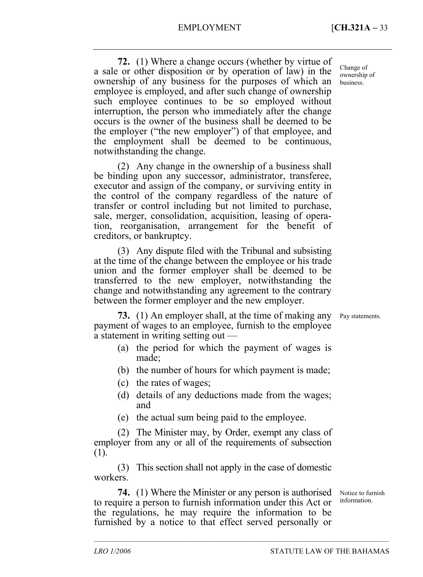Change of ownership of business.

**72.** (1) Where a change occurs (whether by virtue of a sale or other disposition or by operation of law) in the ownership of any business for the purposes of which an employee is employed, and after such change of ownership such employee continues to be so employed without interruption, the person who immediately after the change occurs is the owner of the business shall be deemed to be the employer ("the new employer") of that employee, and the employment shall be deemed to be continuous, notwithstanding the change.

(2) Any change in the ownership of a business shall be binding upon any successor, administrator, transferee, executor and assign of the company, or surviving entity in the control of the company regardless of the nature of transfer or control including but not limited to purchase, sale, merger, consolidation, acquisition, leasing of operation, reorganisation, arrangement for the benefit of creditors, or bankruptcy.

(3) Any dispute filed with the Tribunal and subsisting at the time of the change between the employee or his trade union and the former employer shall be deemed to be transferred to the new employer, notwithstanding the change and notwithstanding any agreement to the contrary between the former employer and the new employer.

**73.** (1) An employer shall, at the time of making any payment of wages to an employee, furnish to the employee a statement in writing setting out —

- (a) the period for which the payment of wages is made;
- (b) the number of hours for which payment is made;
- (c) the rates of wages;
- (d) details of any deductions made from the wages; and
- (e) the actual sum being paid to the employee.

(2) The Minister may, by Order, exempt any class of employer from any or all of the requirements of subsection (1).

(3) This section shall not apply in the case of domestic workers.

**74.** (1) Where the Minister or any person is authorised to require a person to furnish information under this Act or the regulations, he may require the information to be furnished by a notice to that effect served personally or

–––––––––––––––––––––––––––––––––––––––––––––––––––––––––––––––––––––––––––––––

Notice to furnish information.

Pay statements.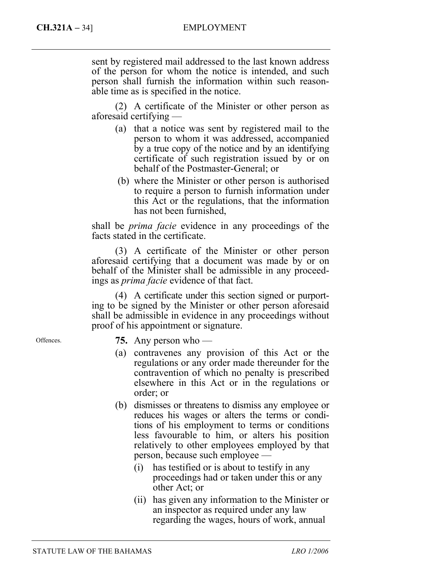## **CH.321A –** 34] EMPLOYMENT

sent by registered mail addressed to the last known address of the person for whom the notice is intended, and such person shall furnish the information within such reasonable time as is specified in the notice.

(2) A certificate of the Minister or other person as aforesaid certifying —

- (a) that a notice was sent by registered mail to the person to whom it was addressed, accompanied by a true copy of the notice and by an identifying certificate of such registration issued by or on behalf of the Postmaster-General; or
- (b) where the Minister or other person is authorised to require a person to furnish information under this Act or the regulations, that the information has not been furnished,

shall be *prima facie* evidence in any proceedings of the facts stated in the certificate.

(3) A certificate of the Minister or other person aforesaid certifying that a document was made by or on behalf of the Minister shall be admissible in any proceedings as *prima facie* evidence of that fact.

(4) A certificate under this section signed or purporting to be signed by the Minister or other person aforesaid shall be admissible in evidence in any proceedings without proof of his appointment or signature.

Offences.

- **75.** Any person who —
- (a) contravenes any provision of this Act or the regulations or any order made thereunder for the contravention of which no penalty is prescribed elsewhere in this Act or in the regulations or order; or
- (b) dismisses or threatens to dismiss any employee or reduces his wages or alters the terms or conditions of his employment to terms or conditions less favourable to him, or alters his position relatively to other employees employed by that person, because such employee —
	- (i) has testified or is about to testify in any proceedings had or taken under this or any other Act; or
	- (ii) has given any information to the Minister or an inspector as required under any law regarding the wages, hours of work, annual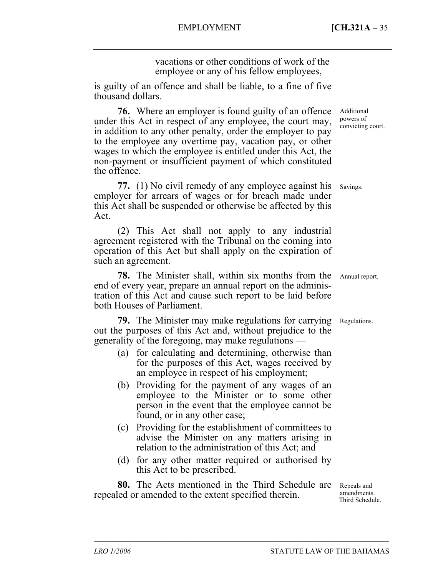vacations or other conditions of work of the employee or any of his fellow employees,

is guilty of an offence and shall be liable, to a fine of five thousand dollars.

**76.** Where an employer is found guilty of an offence under this Act in respect of any employee, the court may, in addition to any other penalty, order the employer to pay to the employee any overtime pay, vacation pay, or other wages to which the employee is entitled under this Act, the non-payment or insufficient payment of which constituted the offence.

**77.** (1) No civil remedy of any employee against his employer for arrears of wages or for breach made under this Act shall be suspended or otherwise be affected by this Act. Savings.

(2) This Act shall not apply to any industrial agreement registered with the Tribunal on the coming into operation of this Act but shall apply on the expiration of such an agreement.

**78.** The Minister shall, within six months from the end of every year, prepare an annual report on the administration of this Act and cause such report to be laid before both Houses of Parliament.

**79.** The Minister may make regulations for carrying out the purposes of this Act and, without prejudice to the generality of the foregoing, may make regulations —

- (a) for calculating and determining, otherwise than for the purposes of this Act, wages received by an employee in respect of his employment;
- (b) Providing for the payment of any wages of an employee to the Minister or to some other person in the event that the employee cannot be found, or in any other case;
- (c) Providing for the establishment of committees to advise the Minister on any matters arising in relation to the administration of this Act; and
- (d) for any other matter required or authorised by this Act to be prescribed.

–––––––––––––––––––––––––––––––––––––––––––––––––––––––––––––––––––––––––––––––

**80.** The Acts mentioned in the Third Schedule are repealed or amended to the extent specified therein.

Repeals and amendments. Third Schedule.

Additional powers of convicting court.

Annual report.

Regulations.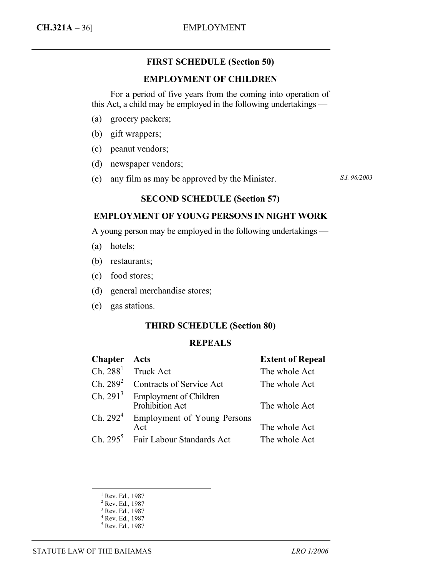## **FIRST SCHEDULE (Section 50)**

### **EMPLOYMENT OF CHILDREN**

For a period of five years from the coming into operation of this Act, a child may be employed in the following undertakings —

- (a) grocery packers;
- (b) gift wrappers;
- (c) peanut vendors;
- (d) newspaper vendors;
- (e) any film as may be approved by the Minister.

*S.I. 96/2003* 

## **SECOND SCHEDULE (Section 57)**

## **EMPLOYMENT OF YOUNG PERSONS IN NIGHT WORK**

A young person may be employed in the following undertakings —

- (a) hotels;
- (b) restaurants;
- (c) food stores;
- (d) general merchandise stores;
- (e) gas stations.

#### **THIRD SCHEDULE (Section 80)**

### **REPEALS**

| Chapter Acts |                                                         | <b>Extent of Repeal</b> |
|--------------|---------------------------------------------------------|-------------------------|
|              | Ch. 288 <sup>1</sup> Truck Act                          | The whole Act           |
|              | Ch. $289^2$ Contracts of Service Act                    | The whole Act           |
|              | Ch. $2913$ Employment of Children<br>Prohibition Act    | The whole Act           |
|              | Ch. 292 <sup>4</sup> Employment of Young Persons<br>Act | The whole Act           |
|              | Ch. 295 <sup>5</sup> Fair Labour Standards Act          | The whole Act           |

 $\frac{1}{1}$  $<sup>1</sup>$  Rev. Ed., 1987</sup>

 $2$  Rev. Ed., 1987

<sup>&</sup>lt;sup>3</sup> Rev. Ed., 1987

<sup>4</sup> Rev. Ed., 1987